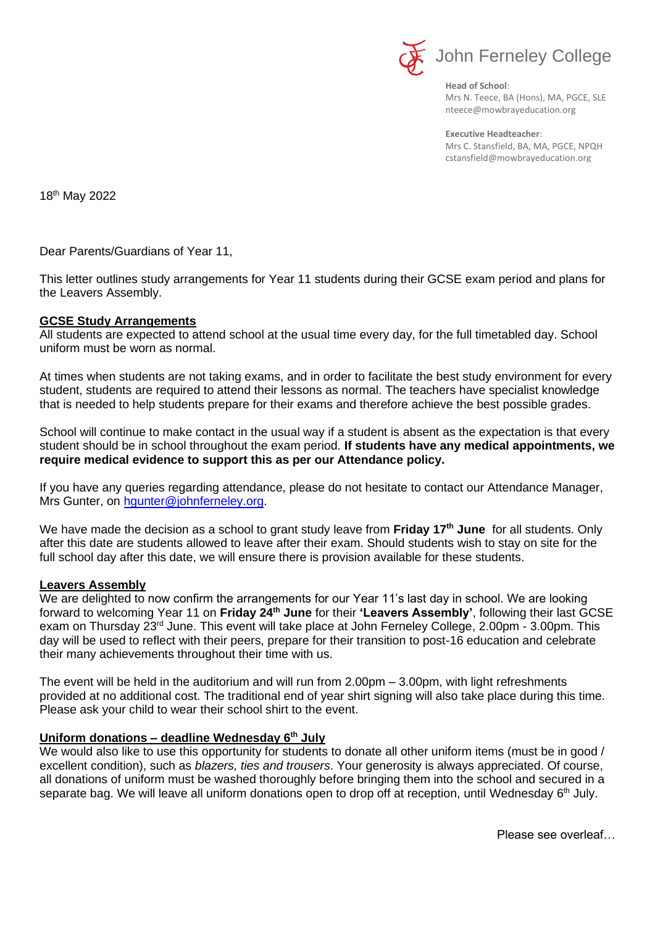

**Head of School**: Mrs N. Teece, BA (Hons), MA, PGCE, SLE nteece@mowbrayeducation.org

**Executive Headteacher**: Mrs C. Stansfield, BA, MA, PGCE, NPQH cstansfield@mowbrayeducation.org

18th May 2022

Dear Parents/Guardians of Year 11,

This letter outlines study arrangements for Year 11 students during their GCSE exam period and plans for the Leavers Assembly.

## **GCSE Study Arrangements**

All students are expected to attend school at the usual time every day, for the full timetabled day. School uniform must be worn as normal.

At times when students are not taking exams, and in order to facilitate the best study environment for every student, students are required to attend their lessons as normal. The teachers have specialist knowledge that is needed to help students prepare for their exams and therefore achieve the best possible grades.

School will continue to make contact in the usual way if a student is absent as the expectation is that every student should be in school throughout the exam period. **If students have any medical appointments, we require medical evidence to support this as per our Attendance policy.**

If you have any queries regarding attendance, please do not hesitate to contact our Attendance Manager, Mrs Gunter, on [hgunter@johnferneley.org.](mailto:hgunter@johnferneley.org)

We have made the decision as a school to grant study leave from **Friday 17th June** for all students. Only after this date are students allowed to leave after their exam. Should students wish to stay on site for the full school day after this date, we will ensure there is provision available for these students.

## **Leavers Assembly**

We are delighted to now confirm the arrangements for our Year 11's last day in school. We are looking forward to welcoming Year 11 on Friday 24<sup>th</sup> June for their 'Leavers Assembly', following their last GCSE exam on Thursday 23<sup>rd</sup> June. This event will take place at John Ferneley College, 2.00pm - 3.00pm. This day will be used to reflect with their peers, prepare for their transition to post-16 education and celebrate their many achievements throughout their time with us.

The event will be held in the auditorium and will run from 2.00pm – 3.00pm, with light refreshments provided at no additional cost. The traditional end of year shirt signing will also take place during this time. Please ask your child to wear their school shirt to the event.

## **Uniform donations – deadline Wednesday 6th July**

We would also like to use this opportunity for students to donate all other uniform items (must be in good / excellent condition), such as *blazers, ties and trousers*. Your generosity is always appreciated. Of course, all donations of uniform must be washed thoroughly before bringing them into the school and secured in a separate bag. We will leave all uniform donations open to drop off at reception, until Wednesday 6<sup>th</sup> July.